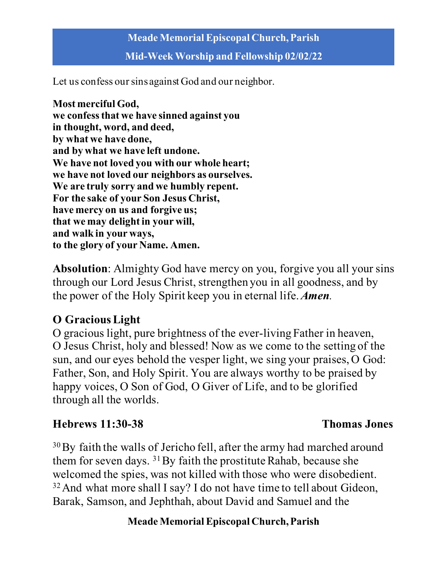**Mid-Week Worship and Fellowship 02/02/22**

Let us confess our sins against God and our neighbor.

**Most merciful God, we confess that we have sinned against you in thought, word, and deed, by what we have done, and by what we have left undone. We have not loved you with our whole heart; we have not loved our neighbors as ourselves. We are truly sorry and we humbly repent. For the sake of your Son Jesus Christ, have mercy on us and forgive us; that we may delight in your will, and walk in your ways, to the glory of your Name. Amen.**

**Absolution**: Almighty God have mercy on you, forgive you all your sins through our Lord Jesus Christ, strengthen you in all goodness, and by the power of the Holy Spirit keep you in eternal life. *Amen.*

# **O GraciousLight**

O gracious light, pure brightness of the ever-living Father in heaven, O Jesus Christ, holy and blessed! Now as we come to the setting of the sun, and our eyes behold the vesper light, we sing your praises, O God: Father, Son, and Holy Spirit. You are always worthy to be praised by happy voices, O Son of God, O Giver of Life, and to be glorified through all the worlds.

# **Hebrews 11:30-38 Thomas Jones**

<sup>30</sup>By faith the walls of Jericho fell, after the army had marched around them for seven days. <sup>31</sup>By faith the prostitute Rahab, because she welcomed the spies, was not killed with those who were disobedient. <sup>32</sup> And what more shall I say? I do not have time to tell about Gideon, Barak, Samson, and Jephthah, about David and Samuel and the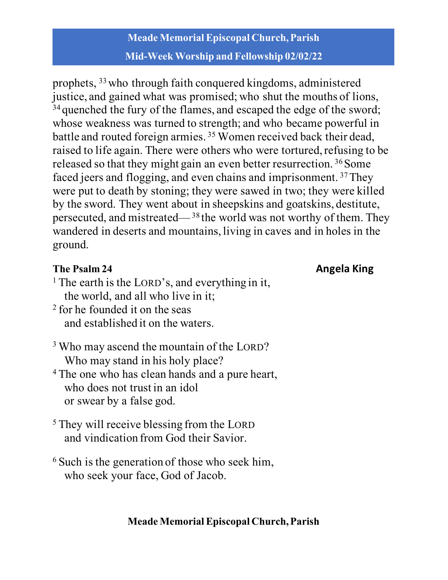# **Meade Memorial Episcopal Church, Parish Mid-Week Worship and Fellowship 02/02/22**

prophets, 33who through faith conquered kingdoms, administered justice, and gained what was promised; who shut the mouths of lions, <sup>34</sup> quenched the fury of the flames, and escaped the edge of the sword; whose weakness was turned to strength; and who became powerful in battle and routed foreign armies. 35 Women received back their dead, raised to life again. There were others who were tortured, refusing to be released so that they might gain an even better resurrection.<sup>36</sup> Some faced jeers and flogging, and even chains and imprisonment. 37They were put to death by stoning; they were sawed in two; they were killed by the sword. They went about in sheepskins and goatskins, destitute, persecuted, and mistreated—38 the world was not worthy of them. They wandered in deserts and mountains, living in caves and in holes in the ground.

# **The Psalm 24 Angela King**

- <sup>1</sup> The earth is the LORD's, and everything in it, the world, and all who live in it;
- <sup>2</sup> for he founded it on the seas and established it on the waters.
- <sup>3</sup> Who may ascend the mountain of the LORD? Who may stand in his holy place?
- <sup>4</sup> The one who has clean hands and a pure heart, who does not trust in an idol or swear by a false god.
- <sup>5</sup> They will receive blessing from the LORD and vindication from God their Savior.
- <sup>6</sup> Such is the generation of those who seek him, who seek your face, God of Jacob.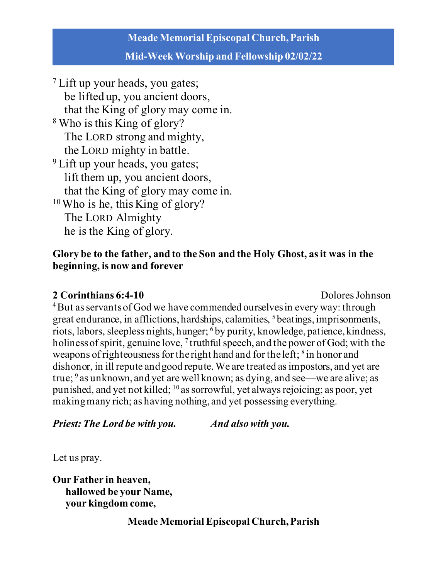#### **Mid-Week Worship and Fellowship 02/02/22**

<sup>7</sup> Lift up your heads, you gates; be lifted up, you ancient doors, that the King of glory may come in. <sup>8</sup> Who is this King of glory? The LORD strong and mighty, the LORD mighty in battle. <sup>9</sup> Lift up your heads, you gates; lift them up, you ancient doors, that the King of glory may come in. 10Who is he, this King of glory? The LORD Almighty he is the King of glory.

#### **Glory be to the father, and to the Son and the Holy Ghost, as it was in the beginning, is now and forever**

#### **2 Corinthians 6:4-10 Dolores** Johnson

<sup>4</sup>But as servants of God we have commended ourselves in every way: through great endurance, in afflictions, hardships, calamities, 5 beatings, imprisonments, riots, labors, sleepless nights, hunger; 6 by purity, knowledge, patience, kindness, holiness of spirit, genuine love,  $\frac{7}{7}$  truthful speech, and the power of God; with the weapons of righteousness for the right hand and for the left; <sup>8</sup> in honor and dishonor, in ill repute and good repute. We are treated as impostors, and yet are true;  $9$  as unknown, and yet are well known; as dying, and see—we are alive; as punished, and yet not killed; 10 as sorrowful, yet always rejoicing; as poor, yet making many rich; as having nothing, and yet possessing everything.

*Priest: The Lord be with you. And also with you.*

Let us pray.

**Our Father in heaven, hallowed be your Name, your kingdom come,**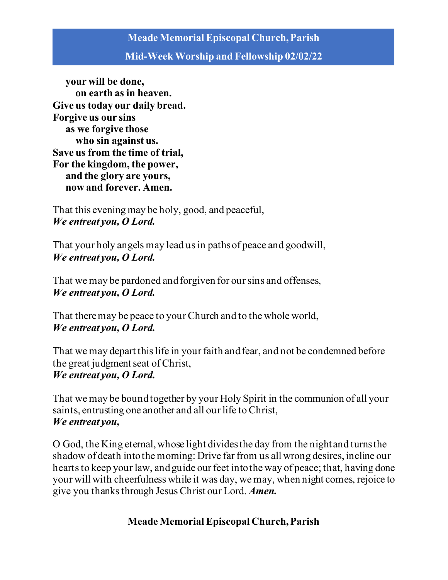#### **Mid-Week Worship and Fellowship 02/02/22**

 **your will be done, on earth as in heaven. Give us today our daily bread. Forgive us our sins as we forgive those who sin against us. Save us from the time of trial, For the kingdom, the power, and the glory are yours, now and forever. Amen.**

That this evening may be holy, good, and peaceful, *We entreat you, O Lord.*

That your holy angels may lead us in paths of peace and goodwill, *We entreat you, O Lord.* 

That we may be pardoned and forgiven for our sins and offenses, *We entreat you, O Lord.* 

That there may be peace to your Church and to the whole world, *We entreat you, O Lord.* 

That we may depart this life in your faith and fear, and not be condemned before the great judgment seat of Christ, *We entreat you, O Lord.* 

That we may be bound together by your Holy Spirit in the communion of all your saints, entrusting one another and all our life to Christ, *We entreat you,* 

O God, the King eternal, whose light divides the day from the night and turns the shadow of death into the morning: Drive far from us all wrong desires, incline our hearts to keep your law, and guide our feet into the way of peace; that, having done your will with cheerfulness while it was day, we may, when night comes, rejoice to give you thanks through JesusChrist our Lord. *Amen.*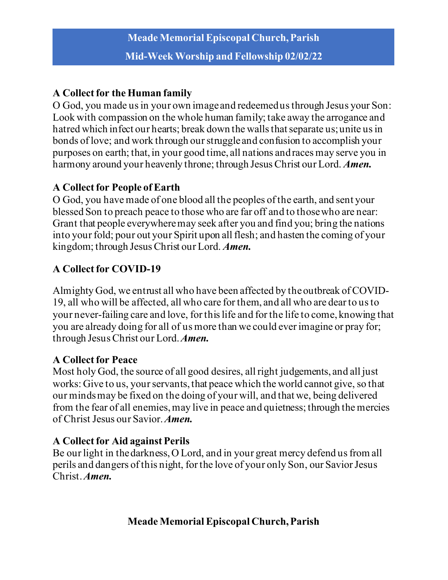# **A Collect for the Human family**

O God, you made us in your own image and redeemed us through Jesus your Son: Look with compassion on the whole human family; take away the arrogance and hatred which infect our hearts; break down the walls that separate us; unite us in bonds of love; and work through our struggle and confusion to accomplish your purposes on earth; that, in your good time, all nations and races may serve you in harmony around your heavenly throne; through Jesus Christ our Lord. *Amen.*

### **A Collect for People of Earth**

O God, you have made of one blood all the peoples of the earth, and sent your blessed Son to preach peace to those who are far off and to those who are near: Grant that people everywhere may seek after you and find you; bring the nations into your fold; pour out your Spirit upon all flesh; and hasten the coming of your kingdom; through Jesus Christ our Lord. *Amen.*

# **A Collect for COVID-19**

Almighty God, we entrust all who have been affected by the outbreak of COVID-19, all who will be affected, all who care for them, and all who are dear to us to your never-failing care and love, for this life and for the life to come, knowing that you are already doing for all of us more than we could ever imagine or pray for; through Jesus Christ our Lord. *Amen.*

# **A Collect for Peace**

Most holy God, the source of all good desires, all right judgements, and all just works: Give to us, your servants, that peace which the world cannot give, so that our minds may be fixed on the doing of your will, and that we, being delivered from the fear of all enemies, may live in peace and quietness; through the mercies of Christ Jesus our Savior. *Amen.*

# **A Collect for Aid against Perils**

Be our light in the darkness, O Lord, and in your great mercy defend us from all perils and dangers of this night, for the love of your only Son, our Savior Jesus Christ. *Amen.*